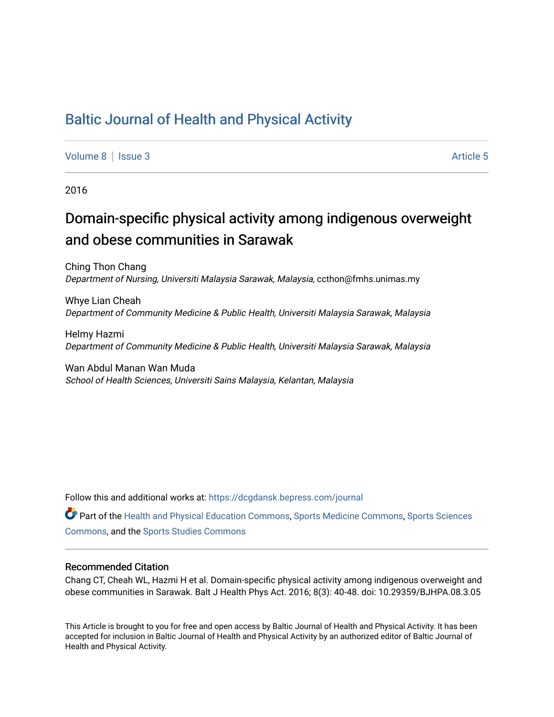## [Baltic Journal of Health and Physical Activity](https://dcgdansk.bepress.com/journal)

[Volume 8](https://dcgdansk.bepress.com/journal/vol8) | [Issue 3](https://dcgdansk.bepress.com/journal/vol8/iss3) Article 5

2016

## Domain-specific physical activity among indigenous overweight and obese communities in Sarawak

Ching Thon Chang Department of Nursing, Universiti Malaysia Sarawak, Malaysia, ccthon@fmhs.unimas.my

Whye Lian Cheah Department of Community Medicine & Public Health, Universiti Malaysia Sarawak, Malaysia

Helmy Hazmi Department of Community Medicine & Public Health, Universiti Malaysia Sarawak, Malaysia

Wan Abdul Manan Wan Muda School of Health Sciences, Universiti Sains Malaysia, Kelantan, Malaysia

Follow this and additional works at: [https://dcgdansk.bepress.com/journal](https://dcgdansk.bepress.com/journal?utm_source=dcgdansk.bepress.com%2Fjournal%2Fvol8%2Fiss3%2F5&utm_medium=PDF&utm_campaign=PDFCoverPages)

Part of the [Health and Physical Education Commons](http://network.bepress.com/hgg/discipline/1327?utm_source=dcgdansk.bepress.com%2Fjournal%2Fvol8%2Fiss3%2F5&utm_medium=PDF&utm_campaign=PDFCoverPages), [Sports Medicine Commons,](http://network.bepress.com/hgg/discipline/1331?utm_source=dcgdansk.bepress.com%2Fjournal%2Fvol8%2Fiss3%2F5&utm_medium=PDF&utm_campaign=PDFCoverPages) [Sports Sciences](http://network.bepress.com/hgg/discipline/759?utm_source=dcgdansk.bepress.com%2Fjournal%2Fvol8%2Fiss3%2F5&utm_medium=PDF&utm_campaign=PDFCoverPages) [Commons](http://network.bepress.com/hgg/discipline/759?utm_source=dcgdansk.bepress.com%2Fjournal%2Fvol8%2Fiss3%2F5&utm_medium=PDF&utm_campaign=PDFCoverPages), and the [Sports Studies Commons](http://network.bepress.com/hgg/discipline/1198?utm_source=dcgdansk.bepress.com%2Fjournal%2Fvol8%2Fiss3%2F5&utm_medium=PDF&utm_campaign=PDFCoverPages) 

#### Recommended Citation

Chang CT, Cheah WL, Hazmi H et al. Domain-specific physical activity among indigenous overweight and obese communities in Sarawak. Balt J Health Phys Act. 2016; 8(3): 40-48. doi: 10.29359/BJHPA.08.3.05

This Article is brought to you for free and open access by Baltic Journal of Health and Physical Activity. It has been accepted for inclusion in Baltic Journal of Health and Physical Activity by an authorized editor of Baltic Journal of Health and Physical Activity.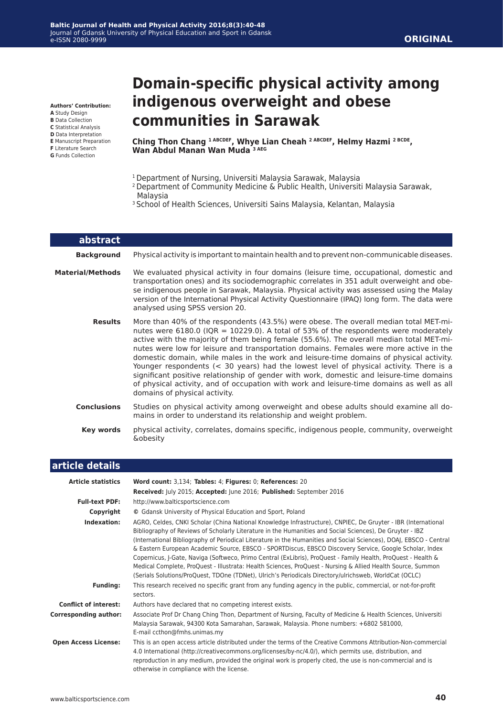**Authors' Contribution:**

- **A** Study Design
- **B** Data Collection **C** Statistical Analysis
- **D** Data Interpretation
- **E** Manuscript Preparation
- **F** Literature Search
- **G** Funds Collection

# **Domain-specific physical activity among indigenous overweight and obese communities in Sarawak**

**Ching Thon Chang 1 ABCDEF, Whye Lian Cheah 2 ABCDEF, Helmy Hazmi 2 BCDE, Wan Abdul Manan Wan Muda 3 AEG**

- <sup>1</sup> Department of Nursing, Universiti Malaysia Sarawak, Malaysia
- 2 Department of Community Medicine & Public Health, Universiti Malaysia Sarawak, Malaysia
- <sup>3</sup> School of Health Sciences, Universiti Sains Malaysia, Kelantan, Malaysia

| abstract           |                                                                                                                                                                                                                                                                                                                                                                                                                                                                                                                                                                                                                                                                                                                                                                                   |
|--------------------|-----------------------------------------------------------------------------------------------------------------------------------------------------------------------------------------------------------------------------------------------------------------------------------------------------------------------------------------------------------------------------------------------------------------------------------------------------------------------------------------------------------------------------------------------------------------------------------------------------------------------------------------------------------------------------------------------------------------------------------------------------------------------------------|
| <b>Background</b>  | Physical activity is important to maintain health and to prevent non-communicable diseases.                                                                                                                                                                                                                                                                                                                                                                                                                                                                                                                                                                                                                                                                                       |
| Material/Methods   | We evaluated physical activity in four domains (leisure time, occupational, domestic and<br>transportation ones) and its sociodemographic correlates in 351 adult overweight and obe-<br>se indigenous people in Sarawak, Malaysia. Physical activity was assessed using the Malay<br>version of the International Physical Activity Questionnaire (IPAQ) long form. The data were<br>analysed using SPSS version 20.                                                                                                                                                                                                                                                                                                                                                             |
| <b>Results</b>     | More than 40% of the respondents (43.5%) were obese. The overall median total MET-mi-<br>nutes were 6180.0 (IQR = 10229.0). A total of 53% of the respondents were moderately<br>active with the majority of them being female (55.6%). The overall median total MET-mi-<br>nutes were low for leisure and transportation domains. Females were more active in the<br>domestic domain, while males in the work and leisure-time domains of physical activity.<br>Younger respondents (< 30 years) had the lowest level of physical activity. There is a<br>significant positive relationship of gender with work, domestic and leisure-time domains<br>of physical activity, and of occupation with work and leisure-time domains as well as all<br>domains of physical activity. |
| <b>Conclusions</b> | Studies on physical activity among overweight and obese adults should examine all do-<br>mains in order to understand its relationship and weight problem.                                                                                                                                                                                                                                                                                                                                                                                                                                                                                                                                                                                                                        |
| Key words          | physical activity, correlates, domains specific, indigenous people, community, overweight<br><b>&amp;obesity</b>                                                                                                                                                                                                                                                                                                                                                                                                                                                                                                                                                                                                                                                                  |

| article details              |                                                                                                                                                                                                                                                                                                                                                                                                                                                                                                                                                                                                                                                                                                                                                                                                      |
|------------------------------|------------------------------------------------------------------------------------------------------------------------------------------------------------------------------------------------------------------------------------------------------------------------------------------------------------------------------------------------------------------------------------------------------------------------------------------------------------------------------------------------------------------------------------------------------------------------------------------------------------------------------------------------------------------------------------------------------------------------------------------------------------------------------------------------------|
| <b>Article statistics</b>    | Word count: 3,134; Tables: 4; Figures: 0; References: 20                                                                                                                                                                                                                                                                                                                                                                                                                                                                                                                                                                                                                                                                                                                                             |
|                              | Received: July 2015; Accepted: June 2016; Published: September 2016                                                                                                                                                                                                                                                                                                                                                                                                                                                                                                                                                                                                                                                                                                                                  |
| <b>Full-text PDF:</b>        | http://www.balticsportscience.com                                                                                                                                                                                                                                                                                                                                                                                                                                                                                                                                                                                                                                                                                                                                                                    |
| Copyright                    | © Gdansk University of Physical Education and Sport, Poland                                                                                                                                                                                                                                                                                                                                                                                                                                                                                                                                                                                                                                                                                                                                          |
| Indexation:                  | AGRO, Celdes, CNKI Scholar (China National Knowledge Infrastructure), CNPIEC, De Gruyter - IBR (International<br>Bibliography of Reviews of Scholarly Literature in the Humanities and Social Sciences), De Gruyter - IBZ<br>(International Bibliography of Periodical Literature in the Humanities and Social Sciences), DOAJ, EBSCO - Central<br>& Eastern European Academic Source, EBSCO - SPORTDiscus, EBSCO Discovery Service, Google Scholar, Index<br>Copernicus, J-Gate, Naviga (Softweco, Primo Central (ExLibris), ProQuest - Family Health, ProQuest - Health &<br>Medical Complete, ProQuest - Illustrata: Health Sciences, ProQuest - Nursing & Allied Health Source, Summon<br>(Serials Solutions/ProQuest, TDOne (TDNet), Ulrich's Periodicals Directory/ulrichsweb, WorldCat (OCLC) |
| <b>Funding:</b>              | This research received no specific grant from any funding agency in the public, commercial, or not-for-profit<br>sectors.                                                                                                                                                                                                                                                                                                                                                                                                                                                                                                                                                                                                                                                                            |
| <b>Conflict of interest:</b> | Authors have declared that no competing interest exists.                                                                                                                                                                                                                                                                                                                                                                                                                                                                                                                                                                                                                                                                                                                                             |
| <b>Corresponding author:</b> | Associate Prof Dr Chang Ching Thon, Department of Nursing, Faculty of Medicine & Health Sciences, Universiti<br>Malaysia Sarawak, 94300 Kota Samarahan, Sarawak, Malaysia. Phone numbers: +6802 581000,<br>E-mail ccthon@fmhs.unimas.my                                                                                                                                                                                                                                                                                                                                                                                                                                                                                                                                                              |
| <b>Open Access License:</b>  | This is an open access article distributed under the terms of the Creative Commons Attribution-Non-commercial<br>4.0 International (http://creativecommons.org/licenses/by-nc/4.0/), which permits use, distribution, and<br>reproduction in any medium, provided the original work is properly cited, the use is non-commercial and is<br>otherwise in compliance with the license.                                                                                                                                                                                                                                                                                                                                                                                                                 |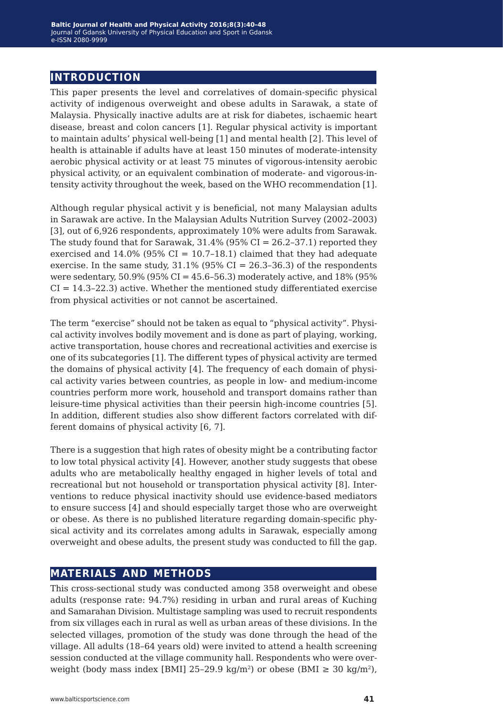## **introduction**

This paper presents the level and correlatives of domain-specific physical activity of indigenous overweight and obese adults in Sarawak, a state of Malaysia. Physically inactive adults are at risk for diabetes, ischaemic heart disease, breast and colon cancers [1]. Regular physical activity is important to maintain adults' physical well-being [1] and mental health [2]. This level of health is attainable if adults have at least 150 minutes of moderate-intensity aerobic physical activity or at least 75 minutes of vigorous-intensity aerobic physical activity, or an equivalent combination of moderate- and vigorous-intensity activity throughout the week, based on the WHO recommendation [1].

Although regular physical activit y is beneficial, not many Malaysian adults in Sarawak are active. In the Malaysian Adults Nutrition Survey (2002–2003) [3], out of 6,926 respondents, approximately 10% were adults from Sarawak. The study found that for Sarawak,  $31.4\%$  (95% CI = 26.2-37.1) reported they exercised and  $14.0\%$  (95% CI = 10.7-18.1) claimed that they had adequate exercise. In the same study,  $31.1\%$  (95% CI = 26.3-36.3) of the respondents were sedentary,  $50.9\%$  (95% CI = 45.6-56.3) moderately active, and 18% (95%  $CI = 14.3 - 22.3$  active. Whether the mentioned study differentiated exercise from physical activities or not cannot be ascertained.

The term "exercise" should not be taken as equal to "physical activity". Physical activity involves bodily movement and is done as part of playing, working, active transportation, house chores and recreational activities and exercise is one of its subcategories [1]. The different types of physical activity are termed the domains of physical activity [4]. The frequency of each domain of physical activity varies between countries, as people in low- and medium-income countries perform more work, household and transport domains rather than leisure-time physical activities than their peersin high-income countries [5]. In addition, different studies also show different factors correlated with different domains of physical activity [6, 7].

There is a suggestion that high rates of obesity might be a contributing factor to low total physical activity [4]. However, another study suggests that obese adults who are metabolically healthy engaged in higher levels of total and recreational but not household or transportation physical activity [8]. Interventions to reduce physical inactivity should use evidence-based mediators to ensure success [4] and should especially target those who are overweight or obese. As there is no published literature regarding domain-specific physical activity and its correlates among adults in Sarawak, especially among overweight and obese adults, the present study was conducted to fill the gap.

## **materials and methods**

This cross-sectional study was conducted among 358 overweight and obese adults (response rate: 94.7%) residing in urban and rural areas of Kuching and Samarahan Division. Multistage sampling was used to recruit respondents from six villages each in rural as well as urban areas of these divisions. In the selected villages, promotion of the study was done through the head of the village. All adults (18–64 years old) were invited to attend a health screening session conducted at the village community hall. Respondents who were overweight (body mass index [BMI] 25-29.9 kg/m<sup>2</sup>) or obese (BMI  $\geq$  30 kg/m<sup>2</sup>),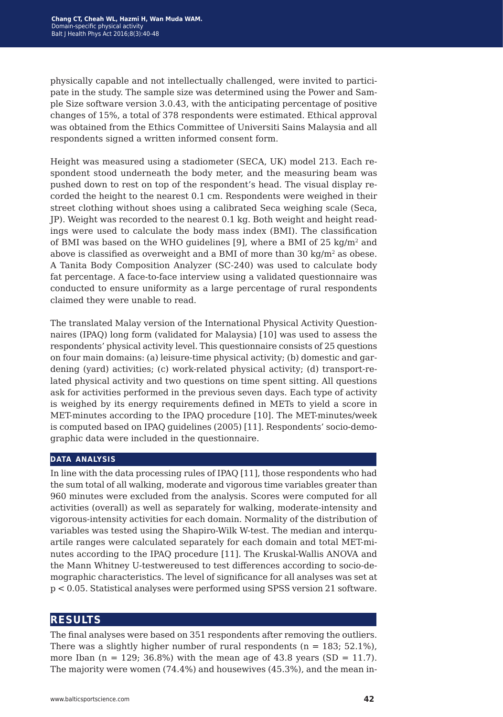physically capable and not intellectually challenged, were invited to participate in the study. The sample size was determined using the Power and Sample Size software version 3.0.43, with the anticipating percentage of positive changes of 15%, a total of 378 respondents were estimated. Ethical approval was obtained from the Ethics Committee of Universiti Sains Malaysia and all respondents signed a written informed consent form.

Height was measured using a stadiometer (SECA, UK) model 213. Each respondent stood underneath the body meter, and the measuring beam was pushed down to rest on top of the respondent's head. The visual display recorded the height to the nearest 0.1 cm. Respondents were weighed in their street clothing without shoes using a calibrated Seca weighing scale (Seca, JP). Weight was recorded to the nearest 0.1 kg. Both weight and height readings were used to calculate the body mass index (BMI). The classification of BMI was based on the WHO guidelines [9], where a BMI of 25 kg/m2 and above is classified as overweight and a BMI of more than  $30 \text{ kg/m}^2$  as obese. A Tanita Body Composition Analyzer (SC-240) was used to calculate body fat percentage. A face-to-face interview using a validated questionnaire was conducted to ensure uniformity as a large percentage of rural respondents claimed they were unable to read.

The translated Malay version of the International Physical Activity Questionnaires (IPAQ) long form (validated for Malaysia) [10] was used to assess the respondents' physical activity level. This questionnaire consists of 25 questions on four main domains: (a) leisure-time physical activity; (b) domestic and gardening (yard) activities; (c) work-related physical activity; (d) transport-related physical activity and two questions on time spent sitting. All questions ask for activities performed in the previous seven days. Each type of activity is weighed by its energy requirements defined in METs to yield a score in MET-minutes according to the IPAQ procedure [10]. The MET-minutes/week is computed based on IPAQ guidelines (2005) [11]. Respondents' socio-demographic data were included in the questionnaire.

#### **data analysis**

In line with the data processing rules of IPAQ [11], those respondents who had the sum total of all walking, moderate and vigorous time variables greater than 960 minutes were excluded from the analysis. Scores were computed for all activities (overall) as well as separately for walking, moderate-intensity and vigorous-intensity activities for each domain. Normality of the distribution of variables was tested using the Shapiro-Wilk W-test. The median and interquartile ranges were calculated separately for each domain and total MET-minutes according to the IPAQ procedure [11]. The Kruskal-Wallis ANOVA and the Mann Whitney U-testwereused to test differences according to socio-demographic characteristics. The level of significance for all analyses was set at p < 0.05. Statistical analyses were performed using SPSS version 21 software.

#### **results**

The final analyses were based on 351 respondents after removing the outliers. There was a slightly higher number of rural respondents ( $n = 183$ ; 52.1%), more Iban ( $n = 129$ ; 36.8%) with the mean age of 43.8 years (SD = 11.7). The majority were women (74.4%) and housewives (45.3%), and the mean in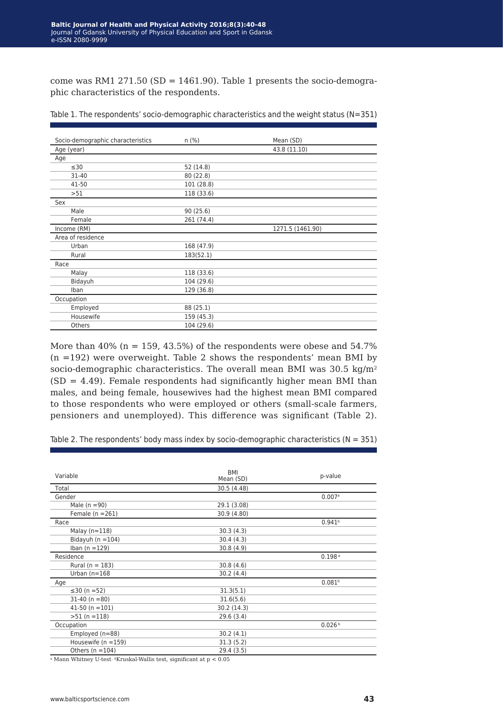come was RM1 271.50 (SD = 1461.90). Table 1 presents the socio-demographic characteristics of the respondents.

| Socio-demographic characteristics | $n$ (%)    | Mean (SD)        |
|-----------------------------------|------------|------------------|
| Age (year)                        |            | 43.8 (11.10)     |
| Age                               |            |                  |
| $\leq 30$                         | 52 (14.8)  |                  |
| $31 - 40$                         | 80 (22.8)  |                  |
| $41 - 50$                         | 101 (28.8) |                  |
| >51                               | 118 (33.6) |                  |
| Sex                               |            |                  |
| Male                              | 90(25.6)   |                  |
| Female                            | 261 (74.4) |                  |
| Income (RM)                       |            | 1271.5 (1461.90) |
| Area of residence                 |            |                  |
| Urban                             | 168 (47.9) |                  |
| Rural                             | 183(52.1)  |                  |
| Race                              |            |                  |
| Malay                             | 118 (33.6) |                  |
| Bidayuh                           | 104 (29.6) |                  |
| Iban                              | 129 (36.8) |                  |
| Occupation                        |            |                  |
| Employed                          | 88 (25.1)  |                  |
| Housewife                         | 159 (45.3) |                  |
| Others                            | 104 (29.6) |                  |

| Table 1. The respondents' socio-demographic characteristics and the weight status (N=351) |  |  |  |  |
|-------------------------------------------------------------------------------------------|--|--|--|--|
|-------------------------------------------------------------------------------------------|--|--|--|--|

More than  $40\%$  (n = 159, 43.5%) of the respondents were obese and 54.7%  $(n = 192)$  were overweight. Table 2 shows the respondents' mean BMI by socio-demographic characteristics. The overall mean BMI was 30.5 kg/m<sup>2</sup>  $(SD = 4.49)$ . Female respondents had significantly higher mean BMI than males, and being female, housewives had the highest mean BMI compared to those respondents who were employed or others (small-scale farmers, pensioners and unemployed). This difference was significant (Table 2).

Table 2. The respondents' body mass index by socio-demographic characteristics ( $N = 351$ )

| Variable                | <b>BMI</b><br>Mean (SD) | p-value            |  |
|-------------------------|-------------------------|--------------------|--|
| Total                   | 30.5 (4.48)             |                    |  |
| Gender                  |                         | 0.007a             |  |
| Male $(n = 90)$         | 29.1 (3.08)             |                    |  |
| Female ( $n = 261$ )    | 30.9 (4.80)             |                    |  |
| Race                    |                         | 0.941 <sup>b</sup> |  |
| Malay $(n=118)$         | 30.3(4.3)               |                    |  |
| Bidayuh ( $n = 104$ )   | 30.4(4.3)               |                    |  |
| Iban ( $n = 129$ )      | 30.8(4.9)               |                    |  |
| Residence               |                         | 0.198a             |  |
| Rural ( $n = 183$ )     | 30.8(4.6)               |                    |  |
| Urban $(n=168)$         | 30.2(4.4)               |                    |  |
| Age                     |                         | 0.081 <sup>b</sup> |  |
| ≤30 (n =52)             | 31.3(5.1)               |                    |  |
| $31-40$ (n =80)         | 31.6(5.6)               |                    |  |
| $41-50$ (n = 101)       | 30.2 (14.3)             |                    |  |
| $>51$ (n = 118)         | 29.6(3.4)               |                    |  |
| Occupation              |                         | 0.026 <sup>b</sup> |  |
| Employed (n=88)         | 30.2(4.1)               |                    |  |
| Housewife ( $n = 159$ ) | 31.3(5.2)               |                    |  |
| Others ( $n = 104$ )    | 29.4(3.5)               |                    |  |

 $^{\rm a}$  Mann Whitney U-test  $^{\rm b}$  Kruskal-Wallis test, significant at p  $<0.05$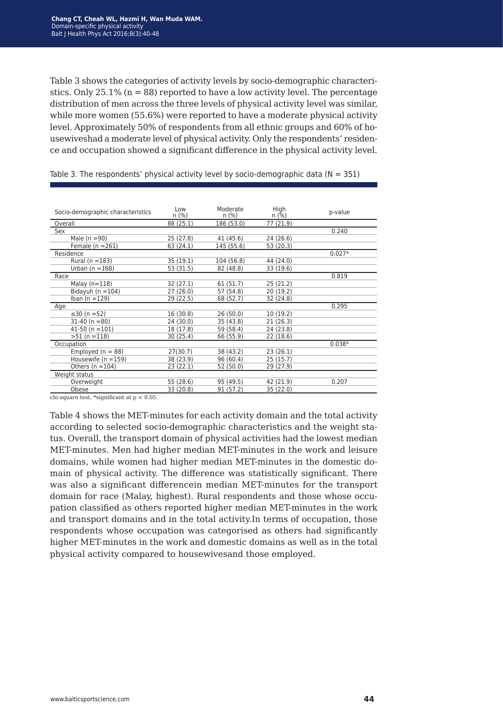Table 3 shows the categories of activity levels by socio-demographic characteristics. Only  $25.1\%$  (n = 88) reported to have a low activity level. The percentage distribution of men across the three levels of physical activity level was similar, while more women (55.6%) were reported to have a moderate physical activity level. Approximately 50% of respondents from all ethnic groups and 60% of housewiveshad a moderate level of physical activity. Only the respondents' residence and occupation showed a significant difference in the physical activity level.

| Socio-demographic characteristics | Low<br>n(%) | Moderate<br>n(%) | High<br>$n$ (%) | p-value  |
|-----------------------------------|-------------|------------------|-----------------|----------|
| Overall                           | 88 (25.1)   | 186 (53.0)       | 77 (21.9)       |          |
| Sex                               |             |                  |                 | 0.240    |
| Male ( $n = 90$ )                 | 25 (27.8)   | 41 (45.6)        | 24 (26.6)       |          |
| Female $(n = 261)$                | 63 (24.1)   | 145 (55.6)       | 53 (20.3)       |          |
| Residence                         |             |                  |                 | $0.027*$ |
| Rural ( $n = 183$ )               | 35 (19.1)   | 104 (56.8)       | 44 (24.0)       |          |
| Urban ( $n = 168$ )               | 53 (31.5)   | 82 (48.8)        | 33 (19.6)       |          |
| Race                              |             |                  |                 | 0.819    |
| Malay $(n=118)$                   | 32(27.1)    | 61(51.7)         | 25 (21.2)       |          |
| Bidayuh ( $n = 104$ )             | 27(26.0)    | 57 (54.8)        | 20 (19.2)       |          |
| Iban ( $n = 129$ )                | 29 (22.5)   | 68 (52.7)        | 32 (24.8)       |          |
| Age                               |             |                  |                 | 0.295    |
| ≤30 (n =52)                       | 16 (30.8)   | 26(50.0)         | 10(19.2)        |          |
| $31-40$ (n = 80)                  | 24 (30.0)   | 35 (43.8)        | 21 (26.3)       |          |
| $41-50$ (n = 101)                 | 18 (17.8)   | 59 (58.4)        | 24 (23.8)       |          |
| $>51$ (n = 118)                   | 30 (25.4)   | 66 (55.9)        | 22 (18.6)       |          |
| Occupation                        |             |                  |                 | $0.038*$ |
| Employed ( $n = 88$ )             | 27(30.7)    | 38 (43.2)        | 23(26.1)        |          |
| Housewife ( $n = 159$ )           | 38 (23.9)   | 96 (60.4)        | 25(15.7)        |          |
| Others $(n = 104)$                | 23(22.1)    | 52 (50.0)        | 29 (27.9)       |          |
| Weight status                     |             |                  |                 |          |
| Overweight                        | 55 (28.6)   | 95 (49.5)        | 42 (21.9)       | 0.207    |
| Obese                             | 33 (20.8)   | 91 (57.2)        | 35 (22.0)       |          |
|                                   |             |                  |                 |          |

Table 3. The respondents' physical activity level by socio-demographic data ( $N = 351$ )

chi-square test, \*significant at  $\rm p < 0.05.$ 

Table 4 shows the MET-minutes for each activity domain and the total activity according to selected socio-demographic characteristics and the weight status. Overall, the transport domain of physical activities had the lowest median MET-minutes. Men had higher median MET-minutes in the work and leisure domains, while women had higher median MET-minutes in the domestic domain of physical activity. The difference was statistically significant. There was also a significant differencein median MET-minutes for the transport domain for race (Malay, highest). Rural respondents and those whose occupation classified as others reported higher median MET-minutes in the work and transport domains and in the total activity.In terms of occupation, those respondents whose occupation was categorised as others had significantly higher MET-minutes in the work and domestic domains as well as in the total physical activity compared to housewivesand those employed.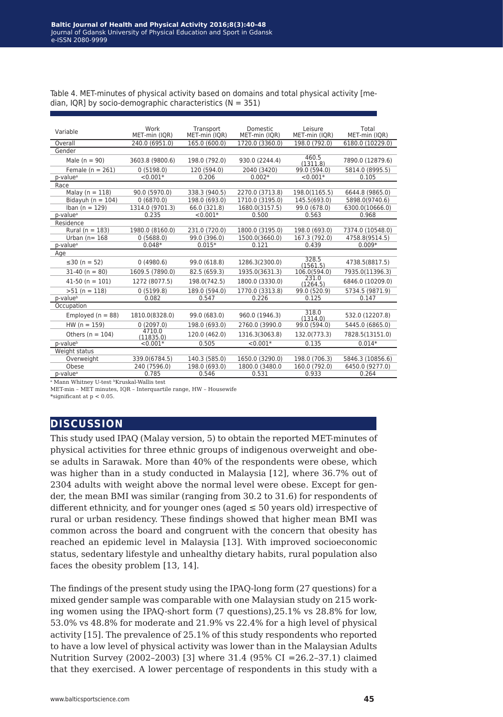| Variable              | Work                | Transport     | <b>Domestic</b> | Leisure           | Total            |
|-----------------------|---------------------|---------------|-----------------|-------------------|------------------|
|                       | MET-min (IQR)       | MET-min (IQR) | MET-min (IQR)   | MET-min (IQR)     | MET-min (IQR)    |
| Overall               | 240.0 (6951.0)      | 165.0 (600.0) | 1720.0 (3360.0) | 198.0 (792.0)     | 6180.0 (10229.0) |
| Gender                |                     |               |                 |                   |                  |
| Male $(n = 90)$       | 3603.8 (9800.6)     | 198.0 (792.0) | 930.0 (2244.4)  | 460.5<br>(1311.8) | 7890.0 (12879.6) |
| Female $(n = 261)$    | 0(5198.0)           | 120 (594.0)   | 2040 (3420)     | 99.0 (594.0)      | 5814.0 (8995.5)  |
| p-value <sup>a</sup>  | $< 0.001*$          | 0.206         | $0.002*$        | $< 0.001*$        | 0.105            |
| Race                  |                     |               |                 |                   |                  |
| Malay ( $n = 118$ )   | 90.0 (5970.0)       | 338.3 (940.5) | 2270.0 (3713.8) | 198.0(1165.5)     | 6644.8 (9865.0)  |
| Bidayuh ( $n = 104$ ) | 0(6870.0)           | 198.0 (693.0) | 1710.0 (3195.0) | 145.5(693.0)      | 5898.0(9740.6)   |
| Iban $(n = 129)$      | 1314.0 (9701.3)     | 66.0 (321.8)  | 1680.0(3157.5)  | 99.0 (678.0)      | 6300.0(10666.0)  |
| p-value <sup>a</sup>  | 0.235               | $< 0.001*$    | 0.500           | 0.563             | 0.968            |
| Residence             |                     |               |                 |                   |                  |
| Rural ( $n = 183$ )   | 1980.0 (8160.0)     | 231.0 (720.0) | 1800.0 (3195.0) | 198.0 (693.0)     | 7374.0 (10548.0) |
| Urban ( $n = 168$     | 0(5688.0)           | 99.0 (396.0)  | 1500.0(3660.0)  | 167.3 (792.0)     | 4758.8(9514.5)   |
| p-value <sup>a</sup>  | $0.048*$            | $0.015*$      | 0.121           | 0.439             | $0.009*$         |
| Age                   |                     |               |                 |                   |                  |
| ≤30 (n = 52)          | 0(4980.6)           | 99.0 (618.8)  | 1286.3(2300.0)  | 328.5<br>(1561.5) | 4738.5(8817.5)   |
| $31-40 (n = 80)$      | 1609.5 (7890.0)     | 82.5 (659.3)  | 1935.0(3631.3)  | 106.0(594.0)      | 7935.0(11396.3)  |
| $41-50$ (n = 101)     | 1272 (8077.5)       | 198.0(742.5)  | 1800.0 (3330.0) | 231.0<br>(1264.5) | 6846.0 (10209.0) |
| $>51 (n = 118)$       | 0(5199.8)           | 189.0 (594.0) | 1770.0 (3313.8) | 99.0 (520.9)      | 5734.5 (9871.9)  |
| p-value <sup>b</sup>  | 0.082               | 0.547         | 0.226           | 0.125             | 0.147            |
| Occupation            |                     |               |                 |                   |                  |
| Employed $(n = 88)$   | 1810.0(8328.0)      | 99.0 (683.0)  | 960.0 (1946.3)  | 318.0<br>(1314.0) | 532.0 (12207.8)  |
| $HW (n = 159)$        | 0(2097.0)           | 198.0 (693.0) | 2760.0 (3990.0  | 99.0 (594.0)      | 5445.0 (6865.0)  |
| Others ( $n = 104$ )  | 4710.0<br>(11835.0) | 120.0 (462.0) | 1316.3(3063.8)  | 132.0(773.3)      | 7828.5(13151.0)  |
| p-value <sup>b</sup>  | $< 0.001*$          | 0.505         | $< 0.001*$      | 0.135             | $0.014*$         |
| Weight status         |                     |               |                 |                   |                  |
| Overweight            | 339.0(6784.5)       | 140.3 (585.0) | 1650.0 (3290.0) | 198.0 (706.3)     | 5846.3 (10856.6) |
| Obese                 | 240 (7596.0)        | 198.0 (693.0) | 1800.0 (3480.0  | 160.0 (792.0)     | 6450.0 (9277.0)  |
| p-value <sup>a</sup>  | 0.785               | 0.546         | 0.531           | 0.933             | 0.264            |
| 1.577<br><b>TATI</b>  | 1 1 3 3 4 7 1 3 1   |               |                 |                   |                  |

Table 4. MET-minutes of physical activity based on domains and total physical activity [median, IQR] by socio-demographic characteristics ( $N = 351$ )

Mann Whitney U-test<sup>, b</sup>Kruskal-Wallis test

MET-min – MET minutes, IQR – Interquartile range, HW – Housewife

\*significant at  $p < 0.05$ .

### **discussion**

This study used IPAQ (Malay version, 5) to obtain the reported MET-minutes of physical activities for three ethnic groups of indigenous overweight and obese adults in Sarawak. More than 40% of the respondents were obese, which was higher than in a study conducted in Malaysia [12], where 36.7% out of 2304 adults with weight above the normal level were obese. Except for gender, the mean BMI was similar (ranging from 30.2 to 31.6) for respondents of different ethnicity, and for younger ones (aged  $\leq$  50 years old) irrespective of rural or urban residency. These findings showed that higher mean BMI was common across the board and congruent with the concern that obesity has reached an epidemic level in Malaysia [13]. With improved socioeconomic status, sedentary lifestyle and unhealthy dietary habits, rural population also faces the obesity problem [13, 14].

The findings of the present study using the IPAQ-long form (27 questions) for a mixed gender sample was comparable with one Malaysian study on 215 working women using the IPAQ-short form (7 questions),25.1% vs 28.8% for low, 53.0% vs 48.8% for moderate and 21.9% vs 22.4% for a high level of physical activity [15]. The prevalence of 25.1% of this study respondents who reported to have a low level of physical activity was lower than in the Malaysian Adults Nutrition Survey (2002–2003) [3] where 31.4 (95% CI =26.2–37.1) claimed that they exercised. A lower percentage of respondents in this study with a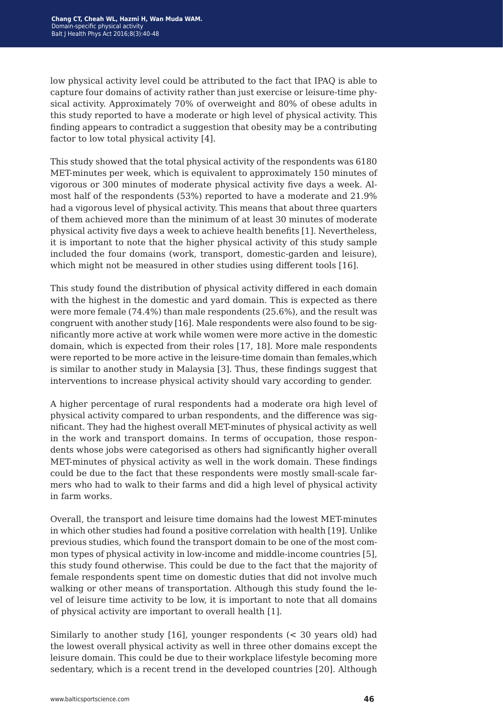low physical activity level could be attributed to the fact that IPAQ is able to capture four domains of activity rather than just exercise or leisure-time physical activity. Approximately 70% of overweight and 80% of obese adults in this study reported to have a moderate or high level of physical activity. This finding appears to contradict a suggestion that obesity may be a contributing factor to low total physical activity [4].

This study showed that the total physical activity of the respondents was 6180 MET-minutes per week, which is equivalent to approximately 150 minutes of vigorous or 300 minutes of moderate physical activity five days a week. Almost half of the respondents (53%) reported to have a moderate and 21.9% had a vigorous level of physical activity. This means that about three quarters of them achieved more than the minimum of at least 30 minutes of moderate physical activity five days a week to achieve health benefits [1]. Nevertheless, it is important to note that the higher physical activity of this study sample included the four domains (work, transport, domestic-garden and leisure), which might not be measured in other studies using different tools [16].

This study found the distribution of physical activity differed in each domain with the highest in the domestic and yard domain. This is expected as there were more female (74.4%) than male respondents (25.6%), and the result was congruent with another study [16]. Male respondents were also found to be significantly more active at work while women were more active in the domestic domain, which is expected from their roles [17, 18]. More male respondents were reported to be more active in the leisure-time domain than females,which is similar to another study in Malaysia [3]. Thus, these findings suggest that interventions to increase physical activity should vary according to gender.

A higher percentage of rural respondents had a moderate ora high level of physical activity compared to urban respondents, and the difference was significant. They had the highest overall MET-minutes of physical activity as well in the work and transport domains. In terms of occupation, those respondents whose jobs were categorised as others had significantly higher overall MET-minutes of physical activity as well in the work domain. These findings could be due to the fact that these respondents were mostly small-scale farmers who had to walk to their farms and did a high level of physical activity in farm works.

Overall, the transport and leisure time domains had the lowest MET-minutes in which other studies had found a positive correlation with health [19]. Unlike previous studies, which found the transport domain to be one of the most common types of physical activity in low-income and middle-income countries [5], this study found otherwise. This could be due to the fact that the majority of female respondents spent time on domestic duties that did not involve much walking or other means of transportation. Although this study found the level of leisure time activity to be low, it is important to note that all domains of physical activity are important to overall health [1].

Similarly to another study [16], younger respondents (< 30 years old) had the lowest overall physical activity as well in three other domains except the leisure domain. This could be due to their workplace lifestyle becoming more sedentary, which is a recent trend in the developed countries [20]. Although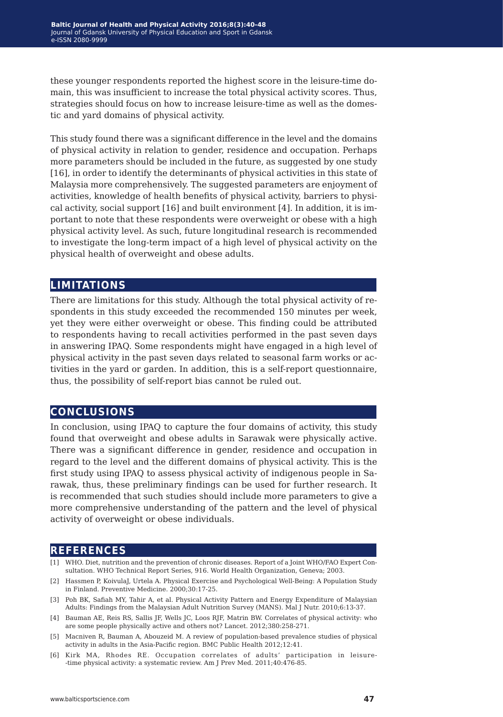these younger respondents reported the highest score in the leisure-time domain, this was insufficient to increase the total physical activity scores. Thus, strategies should focus on how to increase leisure-time as well as the domestic and yard domains of physical activity.

This study found there was a significant difference in the level and the domains of physical activity in relation to gender, residence and occupation. Perhaps more parameters should be included in the future, as suggested by one study [16], in order to identify the determinants of physical activities in this state of Malaysia more comprehensively. The suggested parameters are enjoyment of activities, knowledge of health benefits of physical activity, barriers to physical activity, social support [16] and built environment [4]. In addition, it is important to note that these respondents were overweight or obese with a high physical activity level. As such, future longitudinal research is recommended to investigate the long-term impact of a high level of physical activity on the physical health of overweight and obese adults.

### **limitations**

There are limitations for this study. Although the total physical activity of respondents in this study exceeded the recommended 150 minutes per week, yet they were either overweight or obese. This finding could be attributed to respondents having to recall activities performed in the past seven days in answering IPAQ. Some respondents might have engaged in a high level of physical activity in the past seven days related to seasonal farm works or activities in the yard or garden. In addition, this is a self-report questionnaire, thus, the possibility of self-report bias cannot be ruled out.

## **conclusions**

In conclusion, using IPAQ to capture the four domains of activity, this study found that overweight and obese adults in Sarawak were physically active. There was a significant difference in gender, residence and occupation in regard to the level and the different domains of physical activity. This is the first study using IPAQ to assess physical activity of indigenous people in Sarawak, thus, these preliminary findings can be used for further research. It is recommended that such studies should include more parameters to give a more comprehensive understanding of the pattern and the level of physical activity of overweight or obese individuals.

#### **references**

- [1] WHO. Diet, nutrition and the prevention of chronic diseases. Report of a Joint WHO/FAO Expert Consultation. WHO Technical Report Series, 916. World Health Organization, Geneva; 2003.
- [2] Hassmen P, KoivulaJ, Urtela A. Physical Exercise and Psychological Well-Being: A Population Study in Finland. Preventive Medicine. 2000;30:17-25.
- [3] Poh BK, Safiah MY, Tahir A, et al. Physical Activity Pattern and Energy Expenditure of Malaysian Adults: Findings from the Malaysian Adult Nutrition Survey (MANS). Mal J Nutr. 2010;6:13-37.
- [4] Bauman AE, Reis RS, Sallis JF, Wells JC, Loos RJF, Matrin BW. Correlates of physical activity: who are some people physically active and others not? Lancet. 2012;380:258-271.
- [5] Macniven R, Bauman A, Abouzeid M. A review of population-based prevalence studies of physical activity in adults in the Asia-Pacific region. BMC Public Health 2012;12:41.
- [6] Kirk MA, Rhodes RE. Occupation correlates of adults' participation in leisure- -time physical activity: a systematic review. Am J Prev Med. 2011;40:476-85.